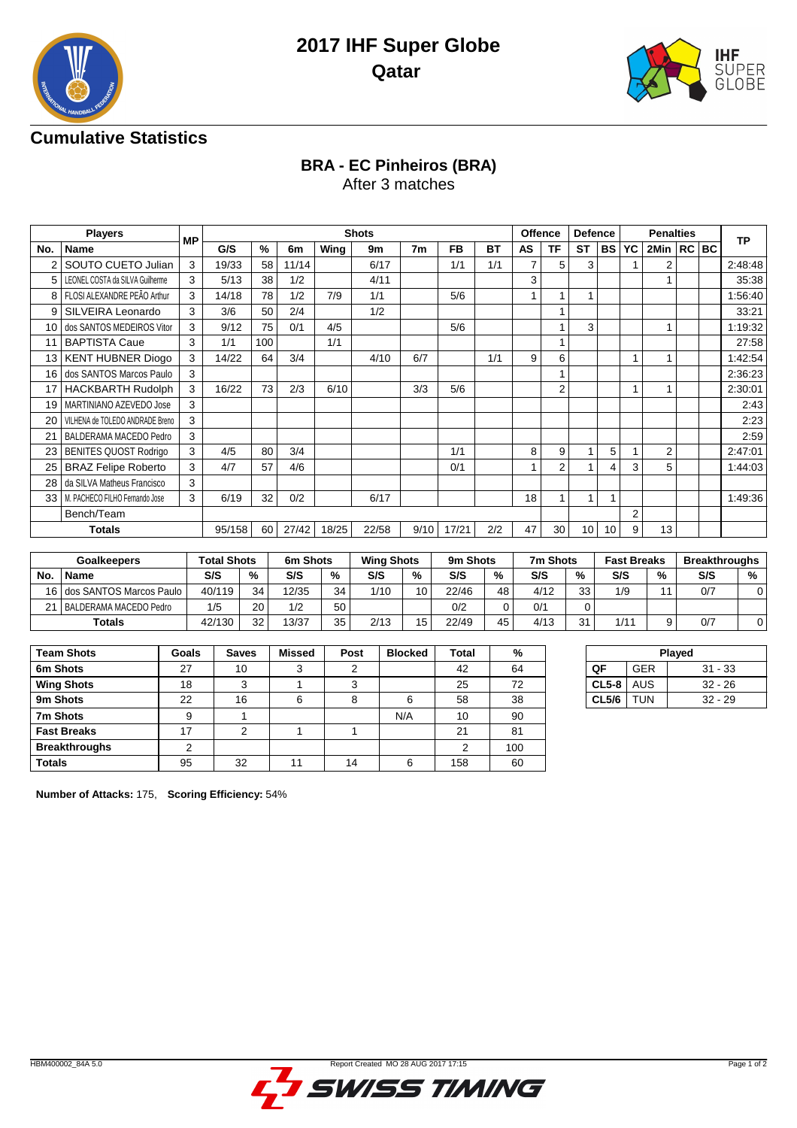



## **Cumulative Statistics**

## **BRA - EC Pinheiros (BRA)**

After 3 matches

|                | <b>Players</b>                      | <b>MP</b> |        |      |       |       | <b>Shots</b> |                |           |           | <b>Offence</b> |                | <b>Defence</b>  |           |                | <b>Penalties</b> |  | <b>TP</b> |
|----------------|-------------------------------------|-----------|--------|------|-------|-------|--------------|----------------|-----------|-----------|----------------|----------------|-----------------|-----------|----------------|------------------|--|-----------|
| No.            | <b>Name</b>                         |           | G/S    | $\%$ | 6m    | Wing  | 9m           | 7 <sub>m</sub> | <b>FB</b> | <b>BT</b> | AS             | <b>TF</b>      | <b>ST</b>       | <b>BS</b> | YC             | 2Min   RC   BC   |  |           |
|                | SOUTO CUETO Julian                  | 3         | 19/33  | 58   | 11/14 |       | 6/17         |                | 1/1       | 1/1       | 7              | 5              | 3               |           |                | 2                |  | 2:48:48   |
| 5 <sup>1</sup> | LEONEL COSTA da SILVA Guilherme     | 3         | 5/13   | 38   | 1/2   |       | 4/11         |                |           |           | 3              |                |                 |           |                |                  |  | 35:38     |
| 8              | FLOSI ALEXANDRE PEÃO Arthur         | 3         | 14/18  | 78   | 1/2   | 7/9   | 1/1          |                | 5/6       |           |                |                |                 |           |                |                  |  | 1:56:40   |
| 9              | SILVEIRA Leonardo                   | 3         | 3/6    | 50   | 2/4   |       | 1/2          |                |           |           |                |                |                 |           |                |                  |  | 33:21     |
| 10             | dos SANTOS MEDEIROS Vitor           | 3         | 9/12   | 75   | 0/1   | 4/5   |              |                | 5/6       |           |                | 1              | 3               |           |                |                  |  | 1:19:32   |
|                | <b>BAPTISTA Caue</b>                | 3         | 1/1    | 100  |       | 1/1   |              |                |           |           |                | 1              |                 |           |                |                  |  | 27:58     |
| 13             | <b>KENT HUBNER Diogo</b>            | 3         | 14/22  | 64   | 3/4   |       | 4/10         | 6/7            |           | 1/1       | 9              | 6              |                 |           | 1              |                  |  | 1:42:54   |
| 16 I           | dos SANTOS Marcos Paulo             | 3         |        |      |       |       |              |                |           |           |                |                |                 |           |                |                  |  | 2:36:23   |
|                | <b>HACKBARTH Rudolph</b>            | 3         | 16/22  | 73   | 2/3   | 6/10  |              | 3/3            | 5/6       |           |                | $\overline{2}$ |                 |           |                |                  |  | 2:30:01   |
| 19             | MARTINIANO AZEVEDO Jose             | 3         |        |      |       |       |              |                |           |           |                |                |                 |           |                |                  |  | 2:43      |
| 20             | VILHENA de TOLEDO ANDRADE Breno     | 3         |        |      |       |       |              |                |           |           |                |                |                 |           |                |                  |  | 2:23      |
| 21             | BALDERAMA MACEDO Pedro              | 3         |        |      |       |       |              |                |           |           |                |                |                 |           |                |                  |  | 2:59      |
| 23             | <b>BENITES QUOST Rodrigo</b>        | 3         | 4/5    | 80   | 3/4   |       |              |                | 1/1       |           | 8              | 9              |                 | 5         |                | 2                |  | 2:47:01   |
| 25             | <b>BRAZ Felipe Roberto</b>          | 3         | 4/7    | 57   | 4/6   |       |              |                | 0/1       |           | 1              | $\overline{2}$ |                 | 4         | 3              | 5                |  | 1:44:03   |
| 28             | da SILVA Matheus Francisco          | 3         |        |      |       |       |              |                |           |           |                |                |                 |           |                |                  |  |           |
|                | 33   M. PACHECO FILHO Fernando Jose | 3         | 6/19   | 32   | 0/2   |       | 6/17         |                |           |           | 18             |                |                 |           |                |                  |  | 1:49:36   |
|                | Bench/Team                          |           |        |      |       |       |              |                |           |           |                |                |                 |           | $\overline{2}$ |                  |  |           |
|                | <b>Totals</b>                       |           | 95/158 | 60   | 27/42 | 18/25 | 22/58        | 9/10           | 17/21     | 2/2       | 47             | 30             | 10 <sup>1</sup> | 10        | 9              | 13               |  |           |

|     | <b>Goalkeepers</b>         | <b>Total Shots</b> |    | 6m Shots |    | <b>Wing Shots</b> |                 | 9m Shots |    | 7m Shots |    | <b>Fast Breaks</b> |    | <b>Breakthroughs</b> |   |
|-----|----------------------------|--------------------|----|----------|----|-------------------|-----------------|----------|----|----------|----|--------------------|----|----------------------|---|
| No. | Name                       | S/S                | %  | S/S      | %  | S/S               | %               | S/S      | %  | S/S      | %  | S/S                | %  | S/S                  | % |
|     | 16 dos SANTOS Marcos Paulo | 40/119             | 34 | 12/35    | 34 | 1/10              | 10 <sup>1</sup> | 22/46    | 48 | 4/12     | 33 | 1/9                | 44 | 0/7                  |   |
| 21  | I BALDERAMA MACEDO Pedro   | 1/5                | 20 | 1/2      | 50 |                   |                 | 0/2      |    | 0/1      |    |                    |    |                      |   |
|     | Totals                     | 42/130             | 32 | 13/37    | 35 | 2/13              | 15              | 22/49    | 45 | 4/13     | 31 | 1/11               |    | 0/7                  |   |

| <b>Team Shots</b>    | Goals | <b>Saves</b> | Missed | Post | <b>Blocked</b> | Total | %   |
|----------------------|-------|--------------|--------|------|----------------|-------|-----|
| 6m Shots             | 27    | 10           | 3      | 2    |                | 42    | 64  |
| <b>Wing Shots</b>    | 18    | 3            |        | 3    |                | 25    | 72  |
| 9m Shots             | 22    | 16           | 6      | 8    | 6              | 58    | 38  |
| 7m Shots             | 9     |              |        |      | N/A            | 10    | 90  |
| <b>Fast Breaks</b>   | 17    | っ            |        |      |                | 21    | 81  |
| <b>Breakthroughs</b> | っ     |              |        |      |                | っ     | 100 |
| <b>Totals</b>        | 95    | 32           |        | 14   | 6              | 158   | 60  |

| Played       |            |           |  |  |  |  |  |  |  |  |
|--------------|------------|-----------|--|--|--|--|--|--|--|--|
| OF           | <b>GER</b> | $31 - 33$ |  |  |  |  |  |  |  |  |
| $CL5-8$      | AUS        | $32 - 26$ |  |  |  |  |  |  |  |  |
| <b>CL5/6</b> | <b>TUN</b> | $32 - 29$ |  |  |  |  |  |  |  |  |
|              |            |           |  |  |  |  |  |  |  |  |

**Number of Attacks:** 175, **Scoring Efficiency:** 54%